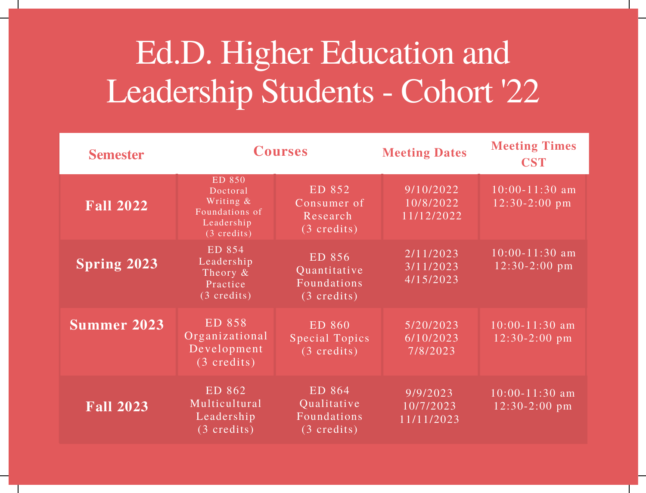## Ed.D. Higher Education and Leadership Students - Cohort '22

| <b>Semester</b>    | <b>Courses</b>                                                                           |                                                                | <b>Meeting Dates</b>                         | <b>Meeting Times</b><br><b>CST</b>    |
|--------------------|------------------------------------------------------------------------------------------|----------------------------------------------------------------|----------------------------------------------|---------------------------------------|
| <b>Fall 2022</b>   | ED 850<br>Doctoral<br>Writing &<br>Foundations of<br>Leadership<br>$(3 \text{ credits})$ | ED 852<br>Consumer of<br>Research<br>$(3 \text{ credits})$     | 9/10/2022<br>10/8/2022<br>11/12/2022         | $10:00 - 11:30$ am<br>$12:30-2:00$ pm |
| <b>Spring 2023</b> | ED 854<br>Leadership<br>Theory &<br>Practice<br>$(3 \text{ credits})$                    | ED 856<br>Quantitative<br>Foundations<br>$(3 \text{ credits})$ | 2/11/2023<br>3/11/2023<br>4/15/2023          | $10:00 - 11:30$ am<br>$12:30-2:00$ pm |
| <b>Summer 2023</b> | ED 858<br>Organizational<br>Development<br>$(3 \text{ credits})$                         | ED 860<br><b>Special Topics</b><br>$(3 \text{ credits})$       | $\sqrt{5/20/20}$ 23<br>6/10/2023<br>7/8/2023 | $10:00 - 11:30$ am<br>$12:30-2:00$ pm |
| <b>Fall 2023</b>   | ED 862<br>Multicultural<br>Leadership<br>$(3 \text{ credits})$                           | ED 864<br>Qualitative<br>Foundations<br>$(3 \text{ credits})$  | 9/9/2023<br>10/7/2023<br>11/11/2023          | $10:00 - 11:30$ am<br>$12:30-2:00$ pm |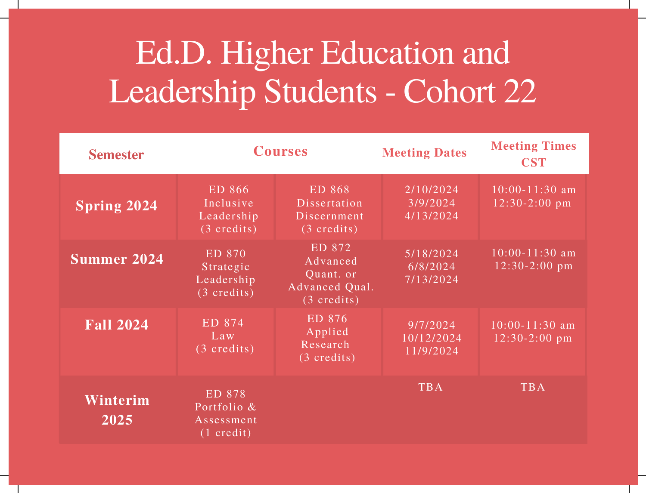## Ed.D. Higher Education and Leadership Students - Cohort 22

| <b>Semester</b>               | <b>Courses</b>                                              |                                                                            | <b>Meeting Dates</b>                | <b>Meeting Times</b><br><b>CST</b>    |
|-------------------------------|-------------------------------------------------------------|----------------------------------------------------------------------------|-------------------------------------|---------------------------------------|
| <b>Spring 2024</b>            | ED 866<br>Inclusive<br>Leadership<br>$(3 \text{ credits})$  | ED 868<br>Dissertation<br>Discernment<br>$\sqrt{(3 \text{ credits})}$      | 2/10/2024<br>3/9/2024<br>4/13/2024  | $10:00 - 11:30$ am<br>$12:30-2:00$ pm |
| Summer 2024                   | ED 870<br>Strategic<br>Leadership<br>$(3 \text{ credits})$  | ED 872<br>Advanced<br>Quant. or<br>Advanced Qual.<br>$(3 \text{ credits})$ | 5/18/2024<br>6/8/2024<br>7/13/2024  | $10:00 - 11:30$ am<br>$12:30-2:00$ pm |
| $\overline{\text{Fall }2024}$ | ED 874<br>Law<br>$(3 \text{ credits})$                      | ED 876<br>Applied<br>Research<br>$(3 \text{ credits})$                     | 9/7/2024<br>10/12/2024<br>11/9/2024 | $10:00 - 11:30$ am<br>$12:30-2:00$ pm |
| Winterim<br>2025              | ED 878<br>Portfolio &<br>Assessment<br>$(1 \text{ credit})$ |                                                                            | <b>TBA</b>                          | <b>TBA</b>                            |